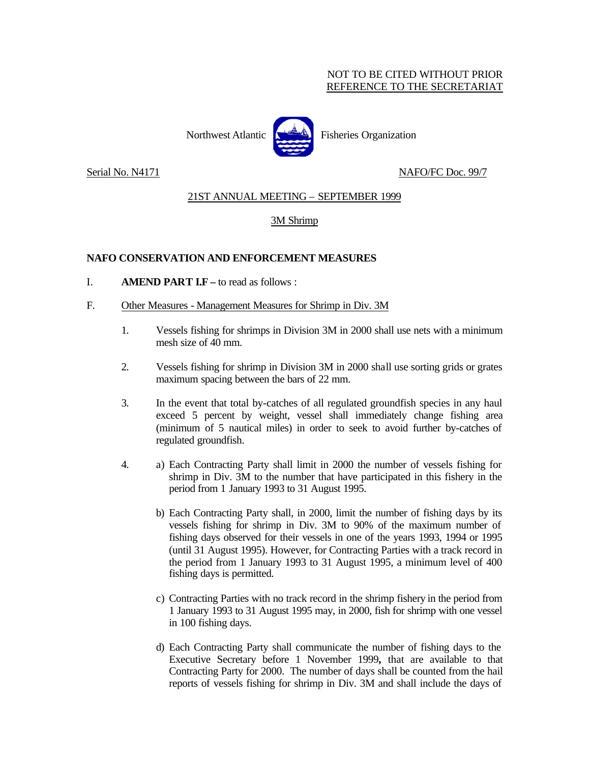## NOT TO BE CITED WITHOUT PRIOR REFERENCE TO THE SECRETARIAT



Serial No. N4171 NAFO/FC Doc. 99/7

## 21ST ANNUAL MEETING – SEPTEMBER 1999

## 3M Shrimp

## **NAFO CONSERVATION AND ENFORCEMENT MEASURES**

- I. **AMEND PART I.F –** to read as follows :
- F. Other Measures Management Measures for Shrimp in Div. 3M
	- 1. Vessels fishing for shrimps in Division 3M in 2000 shall use nets with a minimum mesh size of 40 mm.
	- 2. Vessels fishing for shrimp in Division 3M in 2000 shall use sorting grids or grates maximum spacing between the bars of 22 mm.
	- 3. In the event that total by-catches of all regulated groundfish species in any haul exceed 5 percent by weight, vessel shall immediately change fishing area (minimum of 5 nautical miles) in order to seek to avoid further by-catches of regulated groundfish.
	- 4. a) Each Contracting Party shall limit in 2000 the number of vessels fishing for shrimp in Div. 3M to the number that have participated in this fishery in the period from 1 January 1993 to 31 August 1995.
		- b) Each Contracting Party shall, in 2000, limit the number of fishing days by its vessels fishing for shrimp in Div. 3M to 90% of the maximum number of fishing days observed for their vessels in one of the years 1993, 1994 or 1995 (until 31 August 1995). However, for Contracting Parties with a track record in the period from 1 January 1993 to 31 August 1995, a minimum level of 400 fishing days is permitted.
		- c) Contracting Parties with no track record in the shrimp fishery in the period from 1 January 1993 to 31 August 1995 may, in 2000, fish for shrimp with one vessel in 100 fishing days.
		- d) Each Contracting Party shall communicate the number of fishing days to the Executive Secretary before 1 November 1999**,** that are available to that Contracting Party for 2000. The number of days shall be counted from the hail reports of vessels fishing for shrimp in Div. 3M and shall include the days of